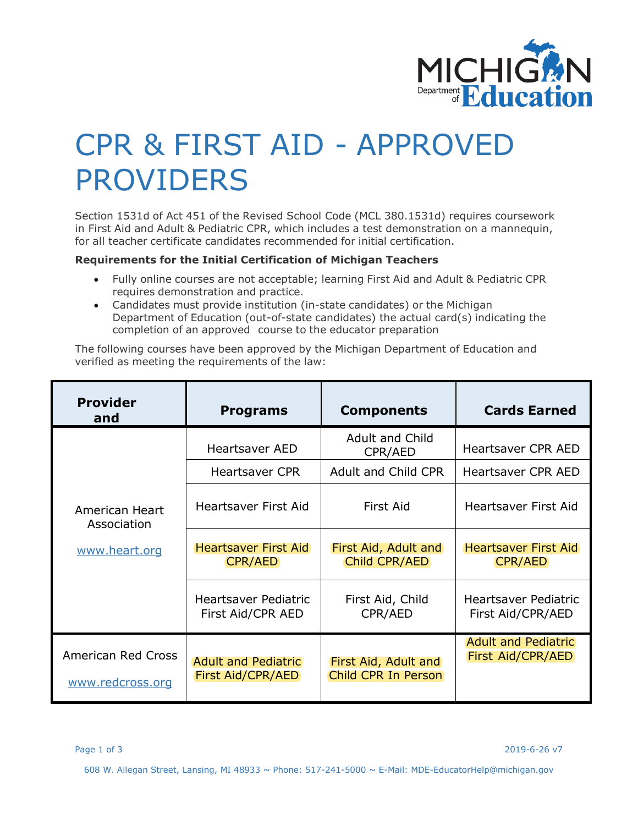

## CPR & FIRST AID - APPROVED PROVIDERS

Section 1531d of Act 451 of the Revised School Code (MCL 380.1531d) requires coursework in First Aid and Adult & Pediatric CPR, which includes a test demonstration on a mannequin, for all teacher certificate candidates recommended for initial certification.

## **Requirements for the Initial Certification of Michigan Teachers**

- Fully online courses are not acceptable; learning First Aid and Adult & Pediatric CPR requires demonstration and practice.
- Candidates must provide institution (in-state candidates) or the Michigan Department of Education (out-of-state candidates) the actual card(s) indicating the completion of an approved course to the educator preparation

The following courses have been approved by the Michigan Department of Education and verified as meeting the requirements of the law:

| <b>Provider</b><br>and                         | <b>Programs</b>                                        | <b>Components</b>                           | <b>Cards Earned</b>                                    |
|------------------------------------------------|--------------------------------------------------------|---------------------------------------------|--------------------------------------------------------|
| American Heart<br>Association<br>www.heart.org | <b>Heartsaver AED</b>                                  | Adult and Child<br>CPR/AED                  | <b>Heartsaver CPR AED</b>                              |
|                                                | Heartsaver CPR                                         | <b>Adult and Child CPR</b>                  | <b>Heartsaver CPR AED</b>                              |
|                                                | <b>Heartsaver First Aid</b>                            | <b>First Aid</b>                            | Heartsaver First Aid                                   |
|                                                | <b>Heartsaver First Aid</b><br><b>CPR/AED</b>          | First Aid, Adult and<br>Child CPR/AED       | <b>Heartsaver First Aid</b><br><b>CPR/AED</b>          |
|                                                | <b>Heartsaver Pediatric</b><br>First Aid/CPR AED       | First Aid, Child<br>CPR/AED                 | Heartsaver Pediatric<br>First Aid/CPR/AED              |
| American Red Cross<br>www.redcross.org         | <b>Adult and Pediatric</b><br><b>First Aid/CPR/AED</b> | First Aid, Adult and<br>Child CPR In Person | <b>Adult and Pediatric</b><br><b>First Aid/CPR/AED</b> |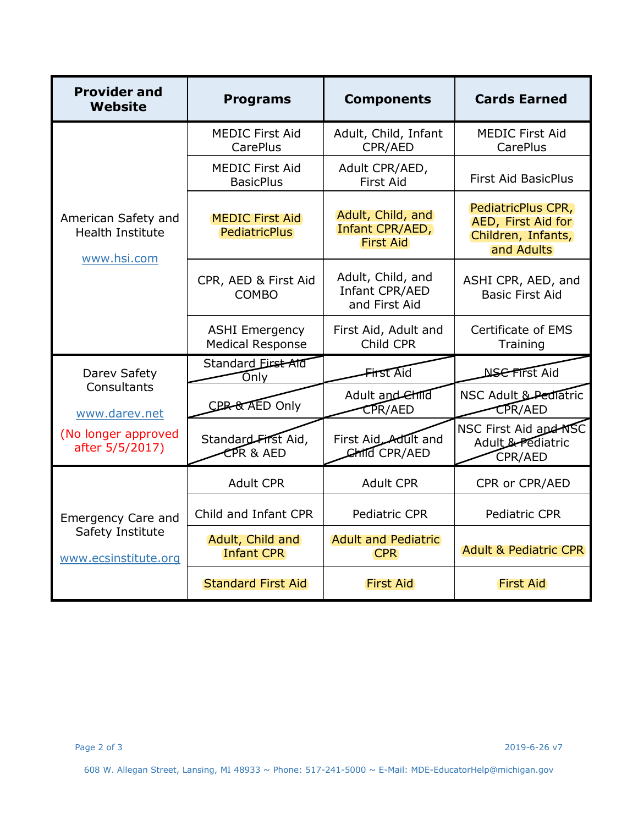| <b>Provider and</b><br>Website                                                         | <b>Programs</b>                                  | <b>Components</b>                                        | <b>Cards Earned</b>                                                          |
|----------------------------------------------------------------------------------------|--------------------------------------------------|----------------------------------------------------------|------------------------------------------------------------------------------|
| American Safety and<br><b>Health Institute</b><br>www.hsi.com                          | <b>MEDIC First Aid</b><br><b>CarePlus</b>        | Adult, Child, Infant<br>CPR/AED                          | <b>MEDIC First Aid</b><br><b>CarePlus</b>                                    |
|                                                                                        | <b>MEDIC First Aid</b><br><b>BasicPlus</b>       | Adult CPR/AED,<br><b>First Aid</b>                       | <b>First Aid BasicPlus</b>                                                   |
|                                                                                        | <b>MEDIC First Aid</b><br><b>PediatricPlus</b>   | Adult, Child, and<br>Infant CPR/AED,<br><b>First Aid</b> | PediatricPlus CPR,<br>AED, First Aid for<br>Children, Infants,<br>and Adults |
|                                                                                        | CPR, AED & First Aid<br><b>COMBO</b>             | Adult, Child, and<br>Infant CPR/AED<br>and First Aid     | ASHI CPR, AED, and<br><b>Basic First Aid</b>                                 |
|                                                                                        | <b>ASHI Emergency</b><br><b>Medical Response</b> | First Aid, Adult and<br>Child CPR                        | Certificate of EMS<br>Training                                               |
| Darev Safety<br>Consultants<br>www.darev.net<br>(No longer approved<br>after 5/5/2017) | Standard Eirst-Ald<br>Only                       | First Aid                                                | <b>NSC FIrst Aid</b>                                                         |
|                                                                                        | CBR-& AED Only                                   | Adult and ehild<br><b>CPR/AED</b>                        | NSC Adult & Pediatric<br><b>CPR/AED</b>                                      |
|                                                                                        | Standard First Aid,<br>CPR & AED                 | First Aid Adult and<br>CHILD CPR/AED                     | NSC First Aid apd NSC<br>Adult & Pediatric<br>CPR/AED                        |
| <b>Emergency Care and</b><br>Safety Institute<br>www.ecsinstitute.org                  | <b>Adult CPR</b>                                 | <b>Adult CPR</b>                                         | CPR or CPR/AED                                                               |
|                                                                                        | Child and Infant CPR                             | <b>Pediatric CPR</b>                                     | <b>Pediatric CPR</b>                                                         |
|                                                                                        | Adult, Child and<br><b>Infant CPR</b>            | <b>Adult and Pediatric</b><br><b>CPR</b>                 | <b>Adult &amp; Pediatric CPR</b>                                             |
|                                                                                        | <b>Standard First Aid</b>                        | <b>First Aid</b>                                         | <b>First Aid</b>                                                             |